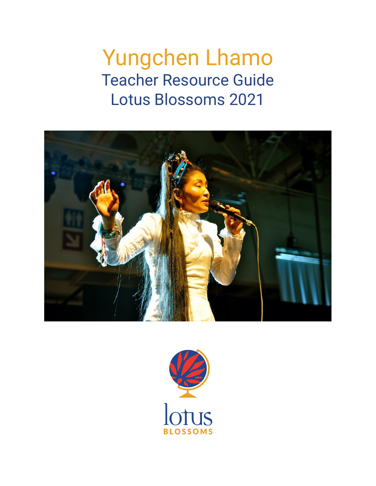# Yungchen Lhamo Teacher Resource Guide Lotus Blossoms 2021



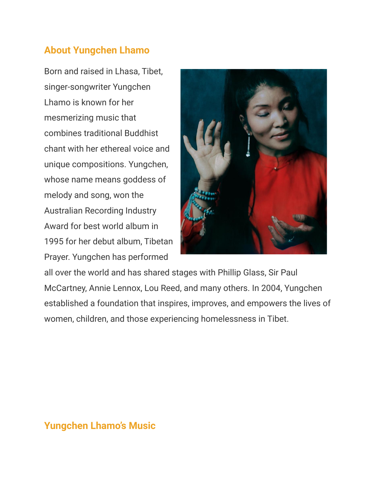## **About Yungchen Lhamo**

Born and raised in Lhasa, Tibet, singer-songwriter Yungchen Lhamo is known for her mesmerizing music that combines traditional Buddhist chant with her ethereal voice and unique compositions. Yungchen, whose name means goddess of melody and song, won the Australian Recording Industry Award for best world album in 1995 for her debut album, Tibetan Prayer. Yungchen has performed



all over the world and has shared stages with Phillip Glass, Sir Paul McCartney, Annie Lennox, Lou Reed, and many others. In 2004, Yungchen established a foundation that inspires, improves, and empowers the lives of women, children, and those experiencing homelessness in Tibet.

## **Yungchen Lhamo's Music**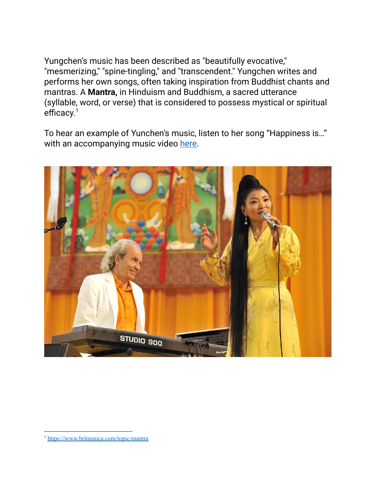Yungchen's music has been described as "beautifully evocative," "mesmerizing," "spine-tingling," and "transcendent." Yungchen writes and performs her own songs, often taking inspiration from Buddhist chants and mantras. A **Mantra,** in Hinduism and Buddhism, a sacred utterance (syllable, word, or verse) that is considered to possess mystical or spiritual efficacy.<sup>1</sup>

To hear an example of Yunchen's music, listen to her song "Happiness is…" with an accompanying music video [here.](https://www.youtube.com/watch?v=2AvR7X1DG78)



<sup>1</sup> <https://www.britannica.com/topic/mantra>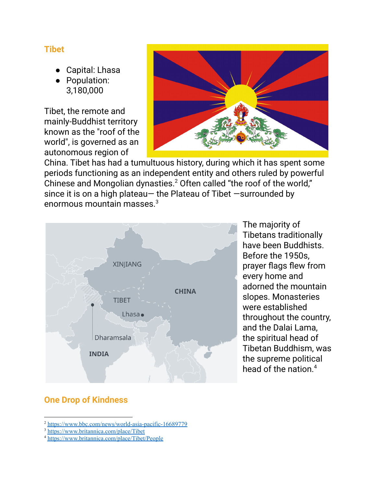#### **Tibet**

- Capital: Lhasa
- Population: 3,180,000

Tibet, the remote and mainly-Buddhist territory known as the "roof of the world", is governed as an autonomous region of



China. Tibet has had a tumultuous history, during which it has spent some periods functioning as an independent entity and others ruled by powerful Chinese and Mongolian dynasties.<sup>2</sup> Often called "the roof of the world," since it is on a high plateau— the Plateau of Tibet —surrounded by enormous mountain masses. 3



The majority of Tibetans traditionally have been Buddhists. Before the 1950s, prayer flags flew from every home and adorned the mountain slopes. Monasteries were established throughout the country, and the Dalai Lama, the spiritual head of Tibetan Buddhism, was the supreme political head of the nation. 4

## **One Drop of Kindness**

<sup>2</sup> <https://www.bbc.com/news/world-asia-pacific-16689779>

<sup>3</sup> <https://www.britannica.com/place/Tibet>

<sup>4</sup> <https://www.britannica.com/place/Tibet/People>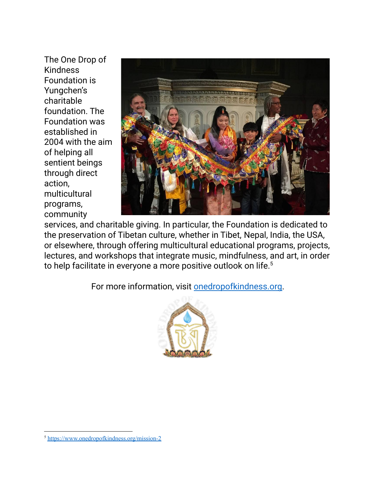The One Drop of Kindness Foundation is Yungchen's charitable foundation. The Foundation was established in 2004 with the aim of helping all sentient beings through direct action, multicultural programs, community



services, and charitable giving. In particular, the Foundation is dedicated to the preservation of Tibetan culture, whether in Tibet, Nepal, India, the USA, or elsewhere, through offering multicultural educational programs, projects, lectures, and workshops that integrate music, mindfulness, and art, in order to help facilitate in everyone a more positive outlook on life. 5

For more information, visit [onedropofkindness.org.](https://www.onedropofkindness.org/)



<sup>5</sup> <https://www.onedropofkindness.org/mission-2>